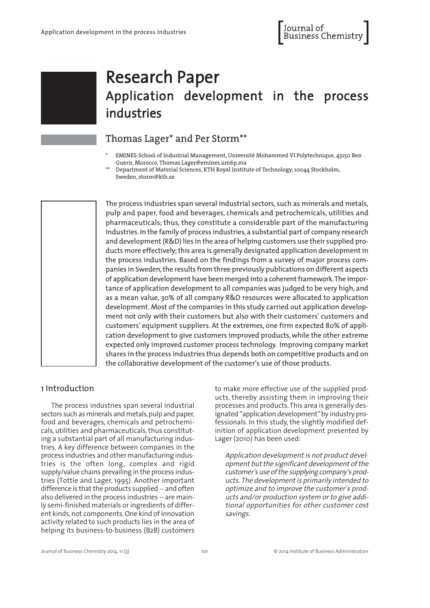# Research Paper Application development in the process industries

# Thomas Lager\* and Per Storm\*\*

- \* EMINES-School of Industrial Management, Université Mohammed VI Polytechnique, 43150 Ben Guerir, Morocco, Thomas.Lager@emines.um6p.ma
- Department of Material Sciences, KTH Royal Institute of Technology, 10044 Stockholm, Sweden, storm@kth.se

The process industries span several industrial sectors, such as minerals and metals, pulp and paper, food and beverages, chemicals and petrochemicals, utilities and pharmaceuticals; thus, they constitute a considerable part of the manufacturing industries. In the family of process industries, a substantial part of company research and development(R&D) lies in the area of helping customers use their supplied products more effectively; this area is generally designated application development in the process industries. Based on the findings from a survey of major process companies in Sweden, the results from three previously publications on different aspects of application development have been merged into a coherentframework.The importance of application development to all companies was judged to be very high, and as a mean value, 30% of all company R&D resources were allocated to application development. Most of the companies in this study carried out application development not only with their customers but also with their customers' customers and customers' equipment suppliers. At the extremes, one firm expected 80% of application development to give customers improved products,while the other extreme expected only improved customer process technology. Improving company market shares in the process industries thus depends both on competitive products and on the collaborative development of the customer's use of those products.

## 1 Introduction

The process industries span several industrial sectors such as minerals and metals, pulp and paper, food and beverages, chemicals and petrochemicals, utilities and pharmaceuticals, thus constituting a substantial part of all manufacturing industries. A key difference between companies in the process industries and other manufacturing industries is the often long, complex and rigid supply/value chains prevailing in the process industries (Tottie and Lager, 1995). Another important difference is that the products supplied -- and often also delivered in the process industries -- are mainly semi-finished materials or ingredients of different kinds, not components. One kind of innovation activity related to such products lies in the area of helping its business-to-business (B2B) customers

to make more effective use of the supplied products, thereby assisting them in improving their processes and products.This area is generally designated "application development"by industry professionals. In this study, the slightly modified definition of application development presented by Lager (2010) has been used:

Application development is not product development but the significant development of the customer's use ofthe supplying company's products. The development is primarily intended to optimize and to improve the customer's products and/or production system or to give additional opportunities for other customer cost savings.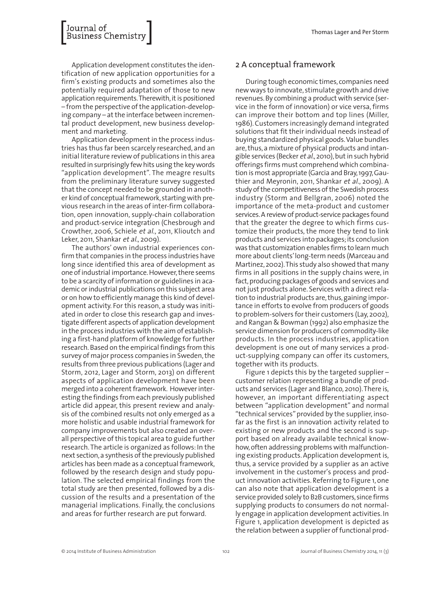Application development constitutes the identification of new application opportunities for a firm's existing products and sometimes also the potentially required adaptation of those to new application requirements. Therewith, it is positioned – from the perspective ofthe application-developing company – at the interface between incremental product development, new business development and marketing.

Application development in the process industries has thus far been scarcely researched, and an initial literature review of publications in this area resulted in surprisingly fewhits using the keywords "application development". The meagre results from the preliminary literature survey suggested that the concept needed to be grounded in another kind of conceptual framework, starting with previous research in the areas of inter-firm collaboration, open innovation, supply-chain collaboration and product-service integration (Chesbrough and Crowther, 2006, Schiele et al., 2011, Klioutch and Leker, 2011, Shankar et al., 2009).

The authors' own industrial experiences confirm that companies in the process industries have long since identified this area of development as one of industrial importance. However, there seems to be a scarcity of information or guidelines in academic or industrial publications on this subject area or on how to efficiently manage this kind of development activity. For this reason, a study was initiated in order to close this research gap and investigate different aspects of application development in the process industries with the aim of establishing a first-hand platform of knowledge for further research. Based on the empirical findings from this survey of major process companies in Sweden, the results from three previous publications (Lager and Storm, 2012, Lager and Storm, 2013) on different aspects of application development have been merged into a coherent framework. However interesting the findings from each previously published article did appear, this present review and analysis of the combined results not only emerged as a more holistic and usable industrial framework for company improvements but also created an overall perspective of this topical area to guide further research.The article is organized as follows: In the next section, a synthesis of the previously published articles has been made as a conceptual framework, followed by the research design and study population. The selected empirical findings from the total study are then presented, followed by a discussion of the results and a presentation of the managerial implications. Finally, the conclusions and areas for further research are put forward.

# 2 A conceptual framework

During tough economic times, companies need new ways to innovate, stimulate growth and drive revenues.By combining a product with service (service in the form of innovation) or vice versa, firms can improve their bottom and top lines (Miller, 1986).Customers increasingly demand integrated solutions that fit their individual needs instead of buying standardized physical goods.Value bundles are,thus,a mixture of physical products and intangible services (Becker et al., 2010), but in such hybrid offerings firms must comprehend which combination is most appropriate (Garcia and Bray,1997,Gauthier and Meyronin, 2011, Shankar et al., 2009). A study of the competitiveness of the Swedish process industry (Storm and Bellgran, 2006) noted the importance of the meta-product and customer services. A review of product-service packages found that the greater the degree to which firms customize their products, the more they tend to link products and services into packages; its conclusion was that customization enables firms to learn much more about clients'long-term needs (Marceau and Martinez,2002).This study also showed that many firms in all positions in the supply chains were, in fact, producing packages of goods and services and not just products alone. Services with a direct relation to industrial products are, thus, gaining importance in efforts to evolve from producers of goods to problem-solvers fortheir customers (Lay, 2002), and Rangan & Bowman (1992) also emphasize the service dimension for producers of commodity-like products. In the process industries, application development is one out of many services a product-supplying company can offer its customers, together with its products.

Figure 1 depicts this by the targeted supplier – customer relation representing a bundle of products and services (Lager and Blanco, 2010).There is, however, an important differentiating aspect between "application development" and normal "technical services"provided by the supplier, insofar as the first is an innovation activity related to existing or new products and the second is support based on already available technical knowhow,often addressing problems with malfunctioning existing products.Application development is, thus, a service provided by a supplier as an active involvement in the customer's process and product innovation activities. Referring to Figure 1, one can also note that application development is a service provided solely to B2B customers, since firms supplying products to consumers do not normally engage in application development activities. In Figure 1, application development is depicted as the relation between a supplier offunctional prod-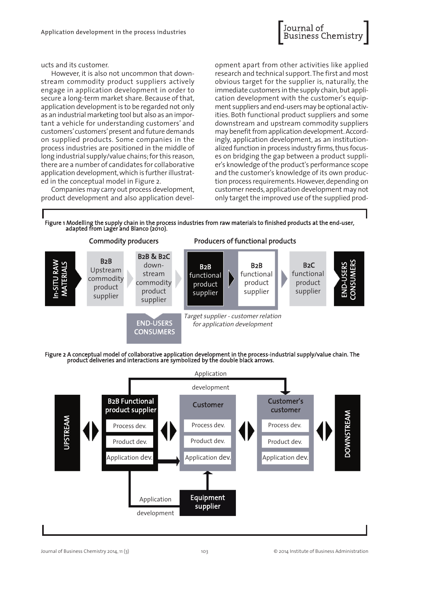

ucts and its customer.

However, it is also not uncommon that downstream commodity product suppliers actively engage in application development in order to secure a long-term market share. Because of that, application development is to be regarded not only as an industrial marketing tool but also as an important a vehicle for understanding customers' and customers'customers'present and future demands on supplied products. Some companies in the process industries are positioned in the middle of long industrial supply/value chains;forthis reason, there are a number of candidates for collaborative application development, which is further illustrated in the conceptual model in Figure 2.

Companies may carry out process development, product development and also application devel-

opment apart from other activities like applied research and technical support.The first and most obvious target for the supplier is, naturally, the immediate customers in the supply chain, but application development with the customer's equipment suppliers and end-users may be optional activities. Both functional product suppliers and some downstream and upstream commodity suppliers may benefit from application development. Accordingly, application development, as an institutionalized function in process industry firms,thus focuses on bridging the gap between a product supplier's knowledge ofthe product's performance scope and the customer's knowledge of its own production process requirements.However,depending on customer needs,application development may not only target the improved use ofthe supplied prod-







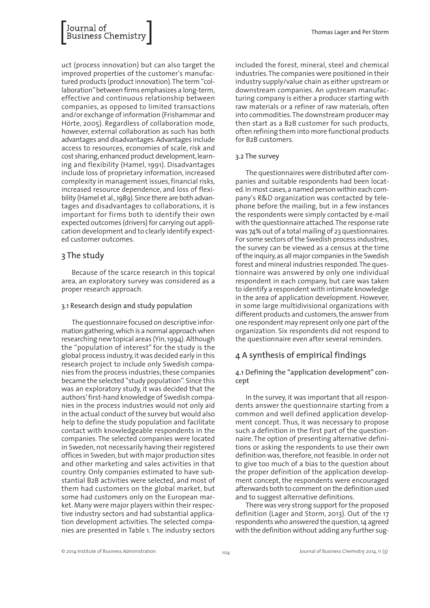

uct (process innovation) but can also target the improved properties of the customer's manufactured products (product innovation). The term "collaboration"between firms emphasizes a long-term, effective and continuous relationship between companies, as opposed to limited transactions and/or exchange ofinformation (Frishammar and Hörte, 2005). Regardless of collaboration mode, however, external collaboration as such has both advantages and disadvantages.Advantages include access to resources, economies of scale, risk and cost sharing, enhanced product development, learning and flexibility (Hamel, 1991). Disadvantages include loss of proprietary information, increased complexity in management issues, financial risks, increased resource dependence, and loss of flexibility (Hamel et al., 1989). Since there are both advantages and disadvantages to collaborations, it is important for firms both to identify their own expected outcomes (drivers) for carrying out application development and to clearly identify expected customer outcomes.

# 3 The study

Because of the scarce research in this topical area, an exploratory survey was considered as a proper research approach.

#### 3.1 Research design and study population

The questionnaire focused on descriptive information gathering, which is a normal approach when researching new topical areas (Yin,1994).Although the "population of interest" for the study is the global process industry,it was decided early in this research project to include only Swedish companies from the process industries;these companies became the selected "study population". Since this was an exploratory study, it was decided that the authors'first-hand knowledge of Swedish companies in the process industries would not only aid in the actual conduct ofthe survey but would also help to define the study population and facilitate contact with knowledgeable respondents in the companies. The selected companies were located in Sweden, not necessarily having their registered offices in Sweden, but with major production sites and other marketing and sales activities in that country. Only companies estimated to have substantial B2B activities were selected, and most of them had customers on the global market, but some had customers only on the European market. Many were major players within their respective industry sectors and had substantial application development activities. The selected companies are presented in Table 1. The industry sectors

included the forest, mineral, steel and chemical industries.The companies were positioned in their industry supply/value chain as either upstream or downstream companies. An upstream manufacturing company is either a producer starting with raw materials or a refiner of raw materials, often into commodities.The downstream producer may then start as a B2B customer for such products, often refining them into more functional products for B2B customers.

#### 3.2 The survey

The questionnaires were distributed after companies and suitable respondents had been located. In most cases, a named person within each company's R&D organization was contacted by telephone before the mailing, but in a few instances the respondents were simply contacted by e-mail with the questionnaire attached.The response rate was 74% out of a total mailing of 23 questionnaires. For some sectors of the Swedish process industries, the survey can be viewed as a census at the time ofthe inquiry,as all major companies in the Swedish forest and mineral industries responded.The questionnaire was answered by only one individual respondent in each company, but care was taken to identify a respondent with intimate knowledge in the area of application development. However, in some large multidivisional organizations with different products and customers, the answer from one respondent may represent only one part ofthe organization. Six respondents did not respond to the questionnaire even after several reminders.

#### 4 A synthesis of empirical findings

#### 4.1 Defining the "application development" concept

In the survey, it was important that all respondents answer the questionnaire starting from a common and well defined application development concept. Thus, it was necessary to propose such a definition in the first part of the questionnaire. The option of presenting alternative definitions or asking the respondents to use their own definition was, therefore, not feasible. In order not to give too much of a bias to the question about the proper definition of the application development concept, the respondents were encouraged afterwards both to comment on the definition used and to suggest alternative definitions.

There was very strong support for the proposed definition (Lager and Storm, 2013). Out of the 17 respondents who answered the question,14 agreed with the definition without adding any further sug-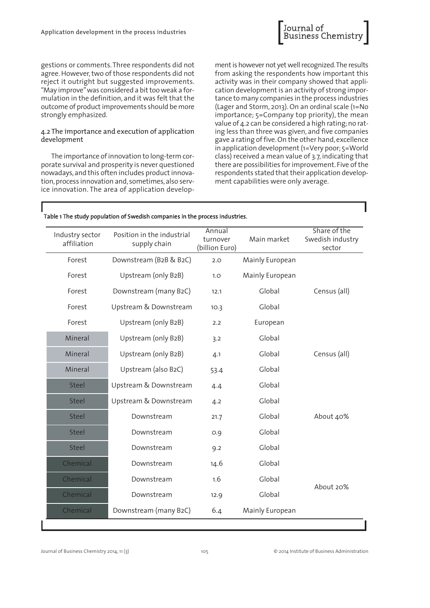

gestions or comments.Three respondents did not agree. However, two of those respondents did not reject it outright but suggested improvements. "May improve" was considered a bit too weak a formulation in the definition, and it was felt that the outcome of product improvements should be more strongly emphasized.

#### 4.2 The importance and execution of application development

The importance of innovation to long-term corporate survival and prosperity is never questioned nowadays, and this often includes product innovation, process innovation and, sometimes, also service innovation. The area of application develop-

ment is however not yet well recognized. The results from asking the respondents how important this activity was in their company showed that application development is an activity of strong importance to many companies in the process industries (Lager and Storm, 2013). On an ordinal scale (1=No importance; 5=Company top priority), the mean value of 4.2 can be considered a high rating;no rating less than three was given, and five companies gave a rating offive.On the other hand,excellence in application development (1=Very poor; 5=World class) received a mean value of 3.7, indicating that there are possibilities for improvement. Five of the respondents stated that their application development capabilities were only average.

#### Table 1 The study population of Swedish companies in the process industries.

| Industry sector<br>affiliation | Position in the industrial<br>supply chain | Annual<br>turnover<br>(billion Euro) | Main market     | Share of the<br>Swedish industry<br>sector |  |
|--------------------------------|--------------------------------------------|--------------------------------------|-----------------|--------------------------------------------|--|
| Forest                         | Downstream (B2B & B2C)                     | 2.0                                  | Mainly European |                                            |  |
| Forest                         | Upstream (only B2B)                        | 1.0                                  | Mainly European |                                            |  |
| Forest                         | Downstream (many B2C)                      | 12.1                                 | Global          | Census (all)                               |  |
| Forest                         | Upstream & Downstream                      | 10.3                                 | Global          |                                            |  |
| Forest                         | Upstream (only B2B)                        | 2.2                                  | European        |                                            |  |
| Mineral                        | Upstream (only B2B)                        | 3.2                                  | Global          |                                            |  |
| Mineral                        | Upstream (only B2B)                        | 4.1                                  | Global          | Census (all)                               |  |
| Mineral                        | Upstream (also B2C)                        | 53.4                                 | Global          |                                            |  |
| <b>Steel</b>                   | Upstream & Downstream                      | 4.4                                  | Global          |                                            |  |
| <b>Steel</b>                   | Upstream & Downstream                      | 4.2                                  | Global          |                                            |  |
| <b>Steel</b>                   | Downstream                                 | 21.7                                 | Global          | About 40%                                  |  |
| <b>Steel</b>                   | Downstream                                 | O.9                                  | Global          |                                            |  |
| <b>Steel</b>                   | Downstream                                 | 9.2                                  | Global          |                                            |  |
| Chemical                       | Downstream                                 | 14.6                                 | Global          |                                            |  |
| Chemical                       | Downstream                                 | 1.6                                  | Global          | About 20%                                  |  |
| Chemical                       | Downstream                                 | 12.9                                 | Global          |                                            |  |
| Chemical                       | Downstream (many B2C)                      | 6.4                                  | Mainly European |                                            |  |
|                                |                                            |                                      |                 |                                            |  |

Journal of Business Chemistry 2014, 11 (3) 105 Publishers 2014 Institute of Business Administration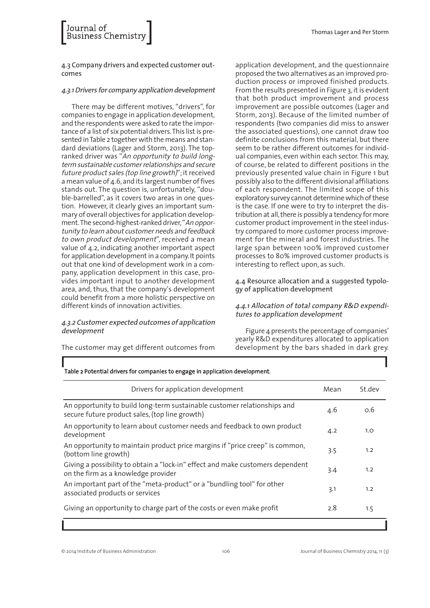4.3 Company drivers and expected customer outcomes

Journal of<br>Business Chemistr

#### 4.3.1Drivers for company application development

There may be different motives, "drivers", for companies to engage in application development, and the respondents were asked to rate the importance of a list of six potential drivers.This listis presented in Table 2 together with the means and standard deviations (Lager and Storm, 2013). The topranked driver was "An opportunity to build longterm sustainable customer relationships and secure future product sales (top line growth)"; it received a mean value of 4.6, and its largest number of fives stands out. The question is, unfortunately, "double-barrelled", as it covers two areas in one question. However, it clearly gives an important summary of overall objectives for application development. The second-highest-ranked driver, "An opportunity to learn about customer needs and feedback to own product development", received a mean value of 4.2, indicating another important aspect for application development in a company. It points out that one kind of development work in a company, application development in this case, provides important input to another development area, and, thus, that the company's development could benefit from a more holistic perspective on different kinds of innovation activities.

#### 4.3.2 Customer expected outcomes of application development

The customer may get different outcomes from

application development, and the questionnaire proposed the two alternatives as an improved production process or improved finished products. From the results presented in Figure 3, it is evident that both product improvement and process improvement are possible outcomes (Lager and Storm, 2013). Because of the limited number of respondents (two companies did miss to answer the associated questions), one cannot draw too definite conclusions from this material, but there seem to be rather different outcomes for individual companies, even within each sector. This may, of course, be related to different positions in the previously presented value chain in Figure 1 but possibly also to the different divisional affiliations of each respondent. The limited scope of this exploratory survey cannot determine which of these is the case. If one were to try to interpret the distribution at all, there is possibly a tendency for more customer product improvement in the steel industry compared to more customer process improvement for the mineral and forest industries. The large span between 100% improved customer processes to 80% improved customer products is interesting to reflect upon, as such.

4.4 Resource allocation and a suggested typology of application development

#### 4.4.1 Allocation of total company R&D expenditures to application development

Figure 4 presents the percentage of companies' yearly R&D expenditures allocated to application development by the bars shaded in dark grey.

| Drivers for application development                                                                                        | Mean | St.dev |
|----------------------------------------------------------------------------------------------------------------------------|------|--------|
| An opportunity to build long-term sustainable customer relationships and<br>secure future product sales, (top line growth) | 4.6  | O.6    |
| An opportunity to learn about customer needs and feedback to own product<br>development                                    | 4.2  | 1.0    |
| An opportunity to maintain product price margins if "price creep" is common,<br>(bottom line growth)                       | 3.5  | 1.2    |
| Giving a possibility to obtain a "lock-in" effect and make customers dependent<br>on the firm as a knowledge provider      | 3.4  | 1.2    |
| An important part of the "meta-product" or a "bundling tool" for other<br>associated products or services                  | 3.1  | 1.2    |
| Giving an opportunity to charge part of the costs or even make profit                                                      | 2.8  | 1.5    |
|                                                                                                                            |      |        |

#### Table 2 Potential drivers for companies to engage in application development.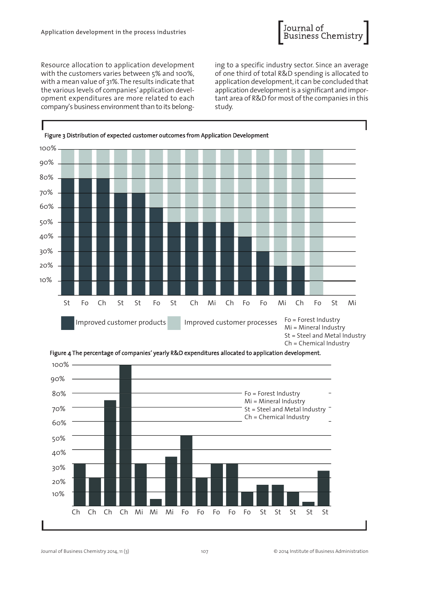

Resource allocation to application development with the customers varies between 5% and 100%, with a mean value of 31%.The results indicate that the various levels of companies'application development expenditures are more related to each company's business environment than to its belonging to a specific industry sector. Since an average of one third of total R&D spending is allocated to application development, it can be concluded that application development is a significant and important area of R&D for most of the companies in this study.





Figure 4 The percentage of companies' yearly R&D expenditures allocated to application development.

Journal of Business Chemistry 2014, 11 (3) 107 © 2014 Institute of Business Administration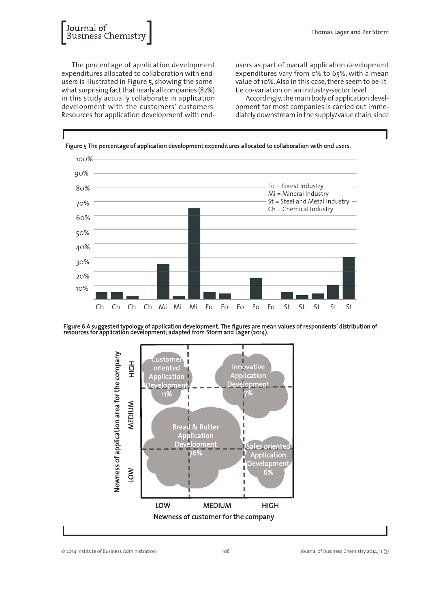

The percentage of application development expenditures allocated to collaboration with endusers is illustrated in Figure 5, showing the somewhat surprising fact that nearly all companies (82%) in this study actually collaborate in application development with the customers' customers. Resources for application development with endusers as part of overall application development expenditures vary from 0% to 65%, with a mean value of 10%. Also in this case, there seem to be little co-variation on an industry-sector level.

Accordingly,the main body of application development for most companies is carried out immediately downstream in the supply/value chain, since



Figure 6 A suggested typology of application development. The figures are mean values of respondents' distribution of resources for application development; adapted from Storm and Lager (2014).

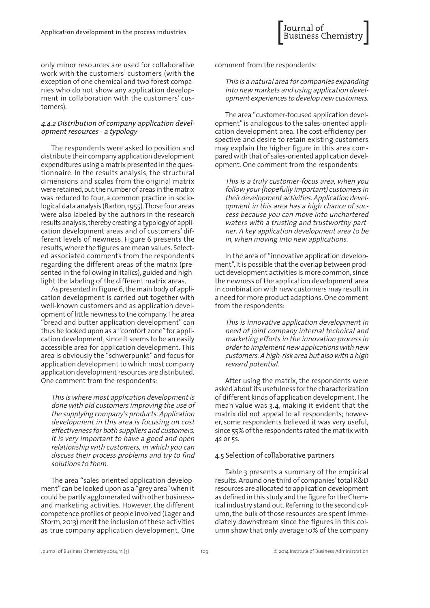only minor resources are used for collaborative work with the customers' customers (with the exception of one chemical and two forest companies who do not show any application development in collaboration with the customers' customers).

#### 4.4.2 Distribution of company application development resources - <sup>a</sup> typology

The respondents were asked to position and distribute their company application development expenditures using a matrix presented in the questionnaire. In the results analysis, the structural dimensions and scales from the original matrix were retained, but the number of areas in the matrix was reduced to four, a common practice in sociological data analysis (Barton,1955).Those four areas were also labeled by the authors in the research results analysis,thereby creating a typology of application development areas and of customers' different levels of newness. Figure 6 presents the results,where the figures are mean values. Selected associated comments from the respondents regarding the different areas of the matrix (presented in the following in italics), guided and highlight the labeling of the different matrix areas.

As presented in Figure 6,the main body of application development is carried out together with well-known customers and as application development oflittle newness to the company.The area "bread and butter application development" can thus be looked upon as a "comfort zone" for application development, since it seems to be an easily accessible area for application development. This area is obviously the "schwerpunkt" and focus for application development to which most company application development resources are distributed. One comment from the respondents:

This is where most application development is done with old customers improving the use of the supplying company's products. Application development in this area is focusing on cost effectiveness for both suppliers and customers. It is very important to have <sup>a</sup> good and open relationship with customers, in which you can discuss their process problems and try to find solutions to them.

The area "sales-oriented application development"can be looked upon as a "grey area"when it could be partly agglomerated with other businessand marketing activities. However, the different competence profiles of people involved (Lager and Storm, 2013) merit the inclusion of these activities as true company application development. One

comment from the respondents:

This is <sup>a</sup> natural area for companies expanding into new markets and using application development experiences to develop new customers.

The area "customer-focused application development" is analogous to the sales-oriented application development area. The cost-efficiency perspective and desire to retain existing customers may explain the higher figure in this area compared with that of sales-oriented application development. One comment from the respondents:

This is <sup>a</sup> truly customer-focus area, when you follow your(hopefully important) customers in their development activities. Application development in this area has <sup>a</sup> high chance of success because you can move into unchartered waters with <sup>a</sup> trusting and trustworthy partner. <sup>A</sup> key application development area to be in, when moving into new applications.

In the area of "innovative application development", it is possible that the overlap between product development activities is more common, since the newness of the application development area in combination with new customers may result in a need for more product adaptions.One comment from the respondents:

This is innovative application development in need of joint company internal technical and marketing efforts in the innovation process in order to implement new applications with new customers. <sup>A</sup> high-risk area but also with <sup>a</sup> high reward potential.

After using the matrix, the respondents were asked about its usefulness for the characterization of different kinds of application development.The mean value was 3.4, making it evident that the matrix did not appeal to all respondents; however, some respondents believed it was very useful, since 55% of the respondents rated the matrix with 4s or 5s.

#### 4.5 Selection of collaborative partners

Table 3 presents a summary of the empirical results. Around one third of companies'total R&D resources are allocated to application development as defined in this study and the figure for the Chemical industry stand out. Referring to the second column,the bulk of those resources are spent immediately downstream since the figures in this column show that only average 10% of the company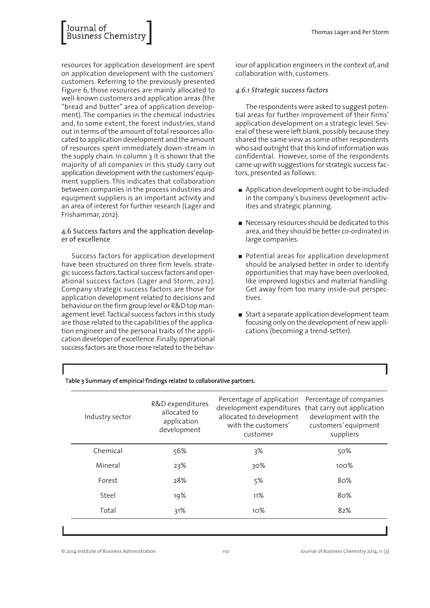

resources for application development are spent on application development with the customers' customers. Referring to the previously presented Figure 6, those resources are mainly allocated to well-known customers and application areas (the "bread and butter" area of application development). The companies in the chemical industries and, to some extent, the forest industries, stand out in terms ofthe amount oftotalresources allocated to application development and the amount of resources spent immediately down-stream in the supply chain. In column 3 it is shown that the majority of all companies in this study carry out application development with the customers'equipment suppliers. This indicates that collaboration between companies in the process industries and equipment suppliers is an important activity and an area of interest for further research (Lager and Frishammar, 2012).

4.6 Success factors and the application developer of excellence

Success factors for application development have been structured on three firm levels: strategic success factors,tactical success factors and operational success factors (Lager and Storm, 2012). Company strategic success factors are those for application development related to decisions and behaviour on the firm group level or R&D top management level. Tactical success factors in this study are those related to the capabilities of the application engineer and the personal traits of the application developer of excellence. Finally,operational success factors are those more related to the behaviour of application engineers in the context of,and collaboration with, customers.

#### 4.6.1 Strategic success factors

The respondents were asked to suggest potential areas for further improvement of their firms' application development on a strategic level. Several of these were left blank, possibly because they shared the same view as some other respondents who said outright that this kind of information was confidential. However, some of the respondents came up with suggestions for strategic success factors, presented as follows:

- Application development ought to be included in the company's business development activities and strategic planning.
- Necessary resources should be dedicated to this area,and they should be better co-ordinated in large companies.
- Potential areas for application development should be analysed better in order to identify opportunities that may have been overlooked, like improved logistics and material handling. Get away from too many inside-out perspectives.
- $\blacksquare$  Start a separate application development team focusing only on the development of new applications (becoming a trend-setter).

| Industry sector | R&D expenditures<br>allocated to<br>application<br>development | Percentage of application<br>development expenditures that carry out application<br>allocated to development<br>with the customers'<br>customer | Percentage of companies<br>development with the<br>customers' equipment<br>suppliers |
|-----------------|----------------------------------------------------------------|-------------------------------------------------------------------------------------------------------------------------------------------------|--------------------------------------------------------------------------------------|
| Chemical        | 56%                                                            | 3%                                                                                                                                              | 50%                                                                                  |
| Mineral         | 23%                                                            | 30%                                                                                                                                             | 100%                                                                                 |
| Forest          | 28%                                                            | 5%                                                                                                                                              | 80%                                                                                  |
| Steel           | 19%                                                            | 11%                                                                                                                                             | 80%                                                                                  |
| Total           | 31%                                                            | 10%                                                                                                                                             | 82%                                                                                  |

#### Table 3 Summary of empirical findings related to collaborative partners.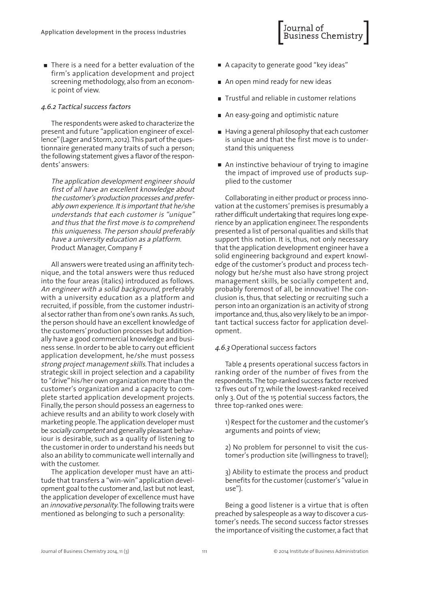■ There is a need for a better evaluation of the firm's application development and project screening methodology, also from an economic point of view.

#### 4.6.2 Tactical success factors

The respondents were asked to characterize the present and future "application engineer of excellence"(Lager and Storm,2012).This part ofthe questionnaire generated many traits of such a person; the following statement gives a flavor of the respondents' answers:

The application development engineer should first of all have an excellent knowledge about the customer's production processes and preferably own experience. It is important that he/she understands that each customer is "unique" and thus that the first move is to comprehend this uniqueness. The person should preferably have <sup>a</sup> university education as <sup>a</sup> platform. Product Manager, Company F

All answers were treated using an affinity technique, and the total answers were thus reduced into the four areas (italics) introduced as follows. An engineer with <sup>a</sup> solid background, preferably with a university education as a platform and recruited, if possible, from the customer industrial sector rather than from one's own ranks. As such, the person should have an excellent knowledge of the customers'production processes but additionally have a good commercial knowledge and business sense. In order to be able to carry out efficient application development, he/she must possess strong project management skills.That includes a strategic skill in project selection and a capability to "drive"his/her own organization more than the customer's organization and a capacity to complete started application development projects. Finally,the person should possess an eagerness to achieve results and an ability to work closely with marketing people.The application developer must be socially competent and generally pleasant behaviour is desirable, such as a quality of listening to the customer in order to understand his needs but also an ability to communicate well internally and with the customer.

The application developer must have an attitude that transfers a "win-win"application development goal to the customer and, last but not least, the application developer of excellence must have an *innovative personality*. The following traits were mentioned as belonging to such a personality:

■ A capacity to generate good "key ideas"

Journal of<br>Business Chemistr

- An open mind ready for new ideas
- Trustful and reliable in customer relations
- An easy-going and optimistic nature
- Having a general philosophy that each customer is unique and that the first move is to understand this uniqueness
- An instinctive behaviour of trying to imagine the impact of improved use of products supplied to the customer

Collaborating in either product or process innovation at the customers'premises is presumably a rather difficult undertaking that requires long experience by an application engineer.The respondents presented a list of personal qualities and skills that support this notion. It is, thus, not only necessary that the application development engineer have a solid engineering background and expert knowledge of the customer's product and process technology but he/she must also have strong project management skills, be socially competent and, probably foremost of all, be innovative! The conclusion is, thus, that selecting or recruiting such a person into an organization is an activity of strong importance and, thus, also very likely to be an important tactical success factor for application development.

#### 4.6.3 Operational success factors

Table 4 presents operational success factors in ranking order of the number of fives from the respondents. The top-ranked success factor received 12 fives out of 17,while the lowest-ranked received only 3. Out of the 15 potential success factors, the three top-ranked ones were:

1) Respect for the customer and the customer's arguments and points of view;

2) No problem for personnel to visit the customer's production site (willingness to travel);

3) Ability to estimate the process and product benefits for the customer (customer's "value in use").

Being a good listener is a virtue that is often preached by salespeople as a way to discover a customer's needs. The second success factor stresses the importance of visiting the customer, a fact that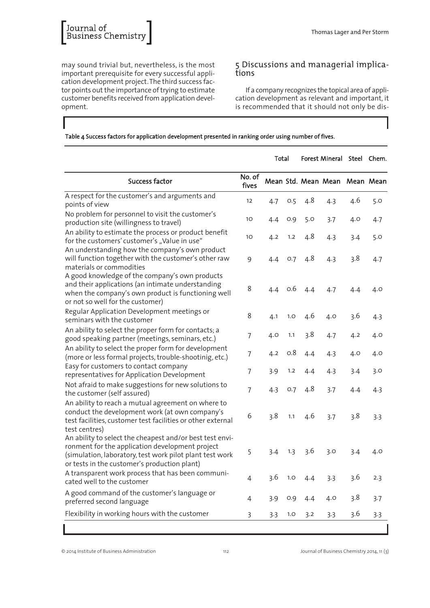may sound trivial but, nevertheless, is the most important prerequisite for every successful application development project.The third success factor points out the importance of trying to estimate customer benefits received from application development.

# <sup>5</sup> Discussions and managerial implica- tions

If a company recognizes the topical area of application development as relevant and important, it is recommended that it should not only be dis-

#### Table 4 Success factors for application development presented in ranking order using number of fives.

|                                                                                                                                                                                                                         |                 | Total |     | Forest Mineral Steel Chem. |                               |     |     |
|-------------------------------------------------------------------------------------------------------------------------------------------------------------------------------------------------------------------------|-----------------|-------|-----|----------------------------|-------------------------------|-----|-----|
| Success factor                                                                                                                                                                                                          | No. of<br>fives |       |     |                            | Mean Std. Mean Mean Mean Mean |     |     |
| A respect for the customer's and arguments and<br>points of view                                                                                                                                                        | 12              | 4.7   | 0.5 | 4.8                        | 4.3                           | 4.6 | 5.0 |
| No problem for personnel to visit the customer's<br>production site (willingness to travel)                                                                                                                             | 10              | 4.4   | O.9 | 5.0                        | 3.7                           | 4.0 | 4.7 |
| An ability to estimate the process or product benefit<br>for the customers' customer's "Value in use"                                                                                                                   | 10              | 4.2   | 1.2 | 4.8                        | 4.3                           | 3.4 | 5.0 |
| An understanding how the company's own product<br>will function together with the customer's other raw<br>materials or commodities                                                                                      | 9               | 4.4   | O.7 | 4.8                        | 4.3                           | 3.8 | 4.7 |
| A good knowledge of the company's own products<br>and their applications (an intimate understanding<br>when the company's own product is functioning well<br>or not so well for the customer)                           | 8               | 4.4   | 0.6 | 4.4                        | 4.7                           | 4.4 | 4.0 |
| Regular Application Development meetings or<br>seminars with the customer                                                                                                                                               | 8               | 4.1   | 1.0 | 4.6                        | 4.0                           | 3.6 | 4.3 |
| An ability to select the proper form for contacts; a<br>good speaking partner (meetings, seminars, etc.)                                                                                                                | 7               | 4.0   | 1.1 | 3.8                        | 4.7                           | 4.2 | 4.0 |
| An ability to select the proper form for development<br>(more or less formal projects, trouble-shootinig, etc.)                                                                                                         | 7               | 4.2   | 0.8 | 4.4                        | 4.3                           | 4.0 | 4.0 |
| Easy for customers to contact company<br>representatives for Application Development                                                                                                                                    | 7               | 3.9   | 1.2 | 4.4                        | 4.3                           | 3.4 | 3.0 |
| Not afraid to make suggestions for new solutions to<br>the customer (self assured)                                                                                                                                      | 7               | 4.3   | O.7 | 4.8                        | 3.7                           | 4.4 | 4.3 |
| An ability to reach a mutual agreement on where to<br>conduct the development work (at own company's<br>test facilities, customer test facilities or other external<br>test centres)                                    | 6               | 3.8   | 1.1 | 4.6                        | 3.7                           | 3.8 | 3.3 |
| An ability to select the cheapest and/or best test envi-<br>ronment for the application development project<br>(simulation, laboratory, test work pilot plant test work<br>or tests in the customer's production plant) | 5               | 3.4   | 1.3 | 3.6                        | 3.0                           | 3.4 | 4.0 |
| A transparent work process that has been communi-<br>cated well to the customer                                                                                                                                         | 4               | 3.6   | 1.0 | 4.4                        | 3.3                           | 3.6 | 2.3 |
| A good command of the customer's language or<br>preferred second language                                                                                                                                               | 4               | 3.9   | 0.9 | 4.4                        | 4.0                           | 3.8 | 3.7 |
| Flexibility in working hours with the customer                                                                                                                                                                          | 3               | 3.3   | 1.0 | 3.2                        | 3.3                           | 3.6 | 3.3 |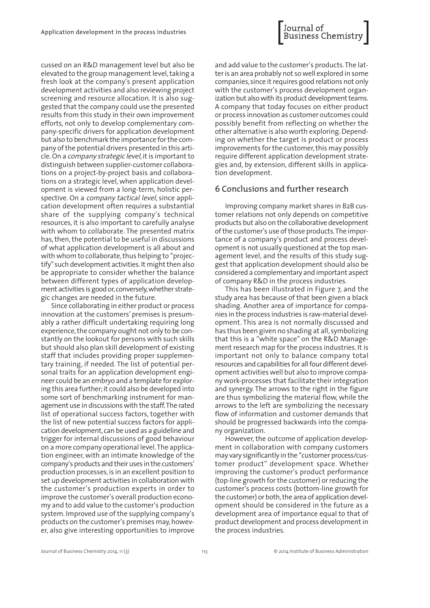Journal of<br>Business Chemistry

cussed on an R&D management level but also be elevated to the group management level, taking a fresh look at the company's present application development activities and also reviewing project screening and resource allocation. It is also suggested that the company could use the presented results from this study in their own improvement efforts, not only to develop complementary company-specific drivers for application development but also to benchmark the importance forthe company ofthe potential drivers presented in this article. On a company strategic level, it is important to distinguish between supplier-customer collaborations on a project-by-project basis and collaborations on a strategic level, when application development is viewed from a long-term, holistic perspective. On a company tactical level, since application development often requires a substantial share of the supplying company's technical resources, it is also important to carefully analyse with whom to collaborate. The presented matrix has, then, the potential to be useful in discussions of what application development is all about and with whom to collaborate, thus helping to "projectify" such development activities. It might then also be appropriate to consider whether the balance between different types of application development activities is good or,conversely,whether strategic changes are needed in the future.

Since collaborating in either product or process innovation at the customers' premises is presumably a rather difficult undertaking requiring long experience,the company ought not only to be constantly on the lookout for persons with such skills but should also plan skill development of existing staff that includes providing proper supplementary training, if needed. The list of potential personal traits for an application development engineer could be an embryo and a template for exploring this area further;it could also be developed into some sort of benchmarking instrument for management use in discussions with the staff. The rated list of operational success factors, together with the list of new potential success factors for application development, can be used as a guideline and trigger for internal discussions of good behaviour on a more company operational level.The application engineer, with an intimate knowledge of the company's products and their uses in the customers' production processes,is in an excellent position to set up development activities in collaboration with the customer's production experts in order to improve the customer's overall production economy and to add value to the customer's production system. Improved use of the supplying company's products on the customer's premises may, however, also give interesting opportunities to improve

and add value to the customer's products.The latter is an area probably not so well explored in some companies, since it requires good relations not only with the customer's process development organization but also with its product development teams. A company that today focuses on either product or process innovation as customer outcomes could possibly benefit from reflecting on whether the other alternative is also worth exploring.Depending on whether the target is product or process improvements for the customer, this may possibly require different application development strategies and, by extension, different skills in application development.

## 6 Conclusions and further research

Improving company market shares in B2B customer relations not only depends on competitive products but also on the collaborative development of the customer's use of those products. The importance of a company's product and process development is not usually questioned at the top management level, and the results of this study suggest that application development should also be considered a complementary and important aspect of company R&D in the process industries.

This has been illustrated in Figure 7, and the study area has because of that been given a black shading. Another area of importance for companies in the process industries is raw-material development. This area is not normally discussed and has thus been given no shading at all, symbolizing that this is a "white space" on the R&D Management research map for the process industries. It is important not only to balance company total resources and capabilities for all four different development activities well but also to improve company work-processes that facilitate their integration and synergy. The arrows to the right in the figure are thus symbolizing the material flow, while the arrows to the left are symbolizing the necessary flow of information and customer demands that should be progressed backwards into the company organization.

However, the outcome of application development in collaboration with company customers may vary significantly in the "customer process/customer product" development space. Whether improving the customer's product performance (top-line growth for the customer) or reducing the customer's process costs (bottom-line growth for the customer) or both, the area of application development should be considered in the future as a development area of importance equal to that of product development and process development in the process industries.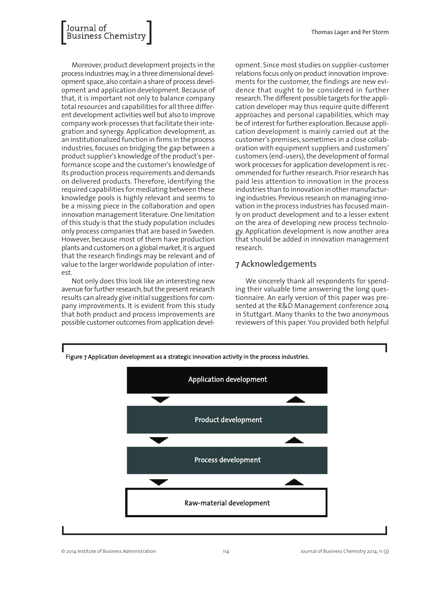# Journal of<br>Business Chemistr

Moreover, product development projects in the process industries may,in a three dimensional development space,also contain a share of process development and application development. Because of that, it is important not only to balance company total resources and capabilities for all three different development activities well but also to improve company work-processes that facilitate their integration and synergy. Application development, as an institutionalized function in firms in the process industries,focuses on bridging the gap between a product supplier's knowledge ofthe product's performance scope and the customer's knowledge of its production process requirements and demands on delivered products. Therefore, identifying the required capabilities for mediating between these knowledge pools is highly relevant and seems to be a missing piece in the collaboration and open innovation management literature. One limitation of this study is that the study population includes only process companies that are based in Sweden. However, because most of them have production plants and customers on a global market, it is argued that the research findings may be relevant and of value to the larger worldwide population of interest.

Not only does this look like an interesting new avenue for further research, but the present research results can already give initial suggestions for company improvements. It is evident from this study that both product and process improvements are possible customer outcomes from application development. Since most studies on supplier-customer relations focus only on product innovation improvements for the customer, the findings are new evidence that ought to be considered in further research.The different possible targets forthe application developer may thus require quite different approaches and personal capabilities, which may be of interest for further exploration. Because application development is mainly carried out at the customer's premises, sometimes in a close collaboration with equipment suppliers and customers' customers (end-users), the development of formal work processes for application development is recommended for further research. Prior research has paid less attention to innovation in the process industries than to innovation in other manufacturing industries.Previous research on managing innovation in the process industries has focused mainly on product development and to a lesser extent on the area of developing new process technology. Application development is now another area that should be added in innovation management research.

# 7 Acknowledgements

We sincerely thank all respondents for spending their valuable time answering the long questionnaire. An early version of this paper was presented at the R&D Management conference 2014 in Stuttgart. Many thanks to the two anonymous reviewers of this paper. You provided both helpful



© 2014 Institute of Business Administration 114 Journal of Business Chemistry 2014, 11 (3)